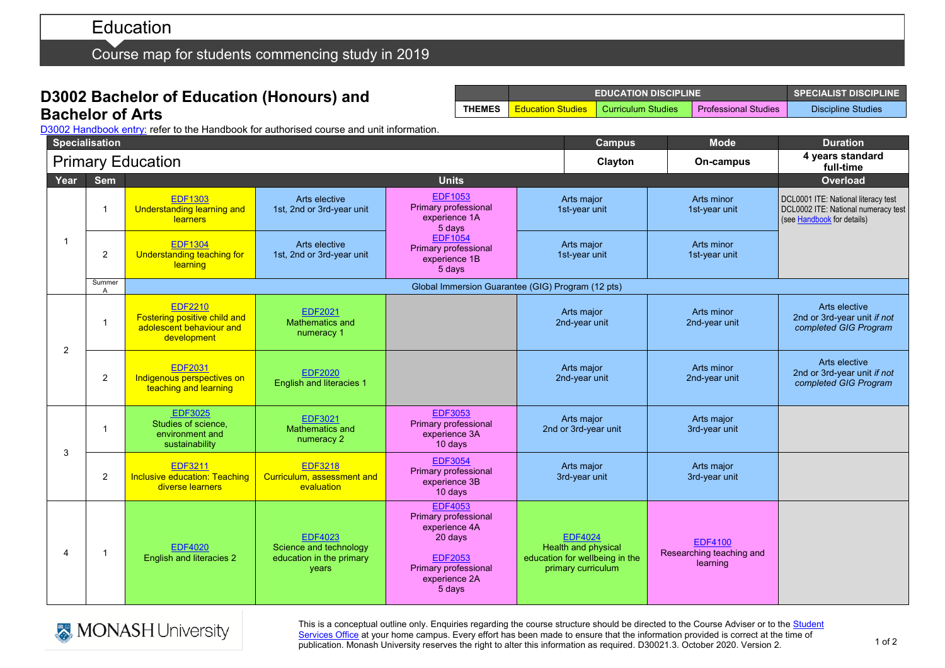# **Education**

Course map for students commencing study in 2019

## **D3002 Bachelor of Education (Honours) and Bachelor of Arts**

|               | <b>EDUCATION DISCIPLINE</b> | $\blacksquare$ SPECIALIST DISCIPLINE $\blacksquare$ |                               |                    |
|---------------|-----------------------------|-----------------------------------------------------|-------------------------------|--------------------|
| <b>THEMES</b> | <b>Education Studies</b>    | Curriculum Studies                                  | <b>A</b> Professional Studies | Discipline Studies |

D3002 [Handbook entry:](http://www.monash.edu.au/pubs/2019handbooks/courses/D3002.html) refer to the Handbook for authorised course and unit information.

|                         | <b>Specialisation</b>    |                                                                                           |                                                                               |                                                                                                                                               |  | <b>Campus</b>                                                                                 | <b>Mode</b>                                            | <b>Duration</b>                                                                                          |
|-------------------------|--------------------------|-------------------------------------------------------------------------------------------|-------------------------------------------------------------------------------|-----------------------------------------------------------------------------------------------------------------------------------------------|--|-----------------------------------------------------------------------------------------------|--------------------------------------------------------|----------------------------------------------------------------------------------------------------------|
|                         | <b>Primary Education</b> |                                                                                           |                                                                               |                                                                                                                                               |  | Clayton                                                                                       | On-campus                                              | 4 years standard<br>full-time                                                                            |
| Year                    | Sem                      | <b>Units</b>                                                                              |                                                                               |                                                                                                                                               |  |                                                                                               |                                                        | Overload                                                                                                 |
| -1                      | $\overline{1}$           | <b>EDF1303</b><br><b>Understanding learning and</b><br>learners                           | Arts elective<br>1st, 2nd or 3rd-year unit                                    | <b>EDF1053</b><br>Primary professional<br>experience 1A<br>5 days<br><b>EDF1054</b><br><b>Primary professional</b><br>experience 1B<br>5 days |  | Arts major<br>1st-year unit                                                                   | Arts minor<br>1st-year unit                            | DCL0001 ITE: National literacy test<br>DCL0002 ITE: National numeracy test<br>(see Handbook for details) |
|                         | $\overline{2}$           | <b>EDF1304</b><br><b>Understanding teaching for</b><br>learning                           | Arts elective<br>1st, 2nd or 3rd-year unit                                    |                                                                                                                                               |  | Arts major<br>1st-year unit                                                                   | Arts minor<br>1st-year unit                            |                                                                                                          |
|                         | Summer<br>$\overline{A}$ | Global Immersion Guarantee (GIG) Program (12 pts)                                         |                                                                               |                                                                                                                                               |  |                                                                                               |                                                        |                                                                                                          |
| $\overline{2}$          | $\overline{1}$           | <b>EDF2210</b><br>Fostering positive child and<br>adolescent behaviour and<br>development | <b>EDF2021</b><br><b>Mathematics and</b><br>numeracy 1                        |                                                                                                                                               |  | Arts major<br>2nd-year unit                                                                   | Arts minor<br>2nd-year unit                            | Arts elective<br>2nd or 3rd-year unit if not<br>completed GIG Program                                    |
|                         | 2                        | <b>EDF2031</b><br>Indigenous perspectives on<br>teaching and learning                     | <b>EDF2020</b><br><b>English and literacies 1</b>                             |                                                                                                                                               |  | Arts major<br>2nd-year unit                                                                   | Arts minor<br>2nd-year unit                            | Arts elective<br>2nd or 3rd-year unit if not<br>completed GIG Program                                    |
| 3                       | $\overline{1}$           | <b>EDF3025</b><br>Studies of science,<br>environment and<br>sustainability                | <b>EDF3021</b><br><b>Mathematics and</b><br>numeracy 2                        | <b>EDF3053</b><br>Primary professional<br>experience 3A<br>10 days                                                                            |  | Arts major<br>2nd or 3rd-year unit                                                            | Arts major<br>3rd-year unit                            |                                                                                                          |
|                         | 2                        | <b>EDF3211</b><br><b>Inclusive education: Teaching</b><br>diverse learners                | <b>EDF3218</b><br>Curriculum, assessment and<br>evaluation                    | <b>EDF3054</b><br>Primary professional<br>experience 3B<br>10 days                                                                            |  | Arts major<br>3rd-year unit                                                                   | Arts major<br>3rd-year unit                            |                                                                                                          |
| $\overline{\mathbf{4}}$ | $\overline{1}$           | <b>EDF4020</b><br><b>English and literacies 2</b>                                         | <b>EDF4023</b><br>Science and technology<br>education in the primary<br>years | <b>EDF4053</b><br>Primary professional<br>experience 4A<br>20 days<br><b>EDF2053</b><br>Primary professional<br>experience 2A<br>5 days       |  | <b>EDF4024</b><br>Health and physical<br>education for wellbeing in the<br>primary curriculum | <b>EDF4100</b><br>Researching teaching and<br>learning |                                                                                                          |



This is a conceptual outline only. Enquiries regarding the course structure should be directed to the Course Adviser or to the Student [Services Office](https://www.monash.edu/education/current-students/contact) at your home campus. Every effort has been made to ensure that the information provided is correct at the time of publication. Monash University reserves the right to alter this information as required. D30021.3. October 2020. Version 2.